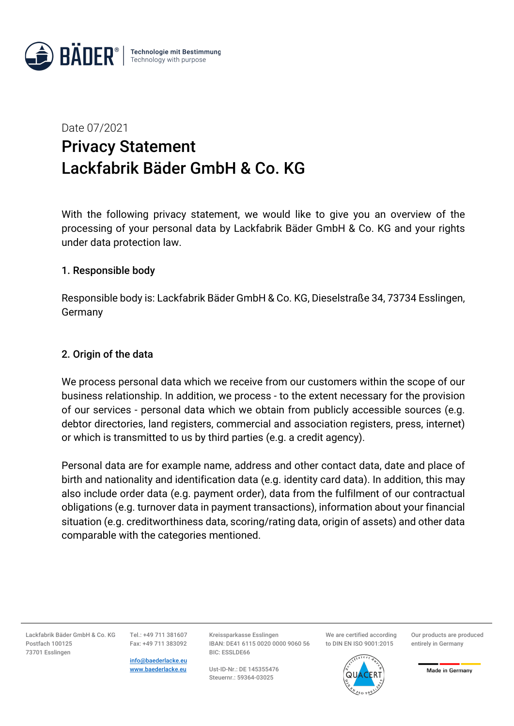

# Date 07/2021 Privacy Statement Lackfabrik Bäder GmbH & Co. KG

With the following privacy statement, we would like to give you an overview of the processing of your personal data by Lackfabrik Bäder GmbH & Co. KG and your rights under data protection law.

## 1. Responsible body

Responsible body is: Lackfabrik Bäder GmbH & Co. KG, Dieselstraße 34, 73734 Esslingen, Germany

## 2. Origin of the data

We process personal data which we receive from our customers within the scope of our business relationship. In addition, we process - to the extent necessary for the provision of our services - personal data which we obtain from publicly accessible sources (e.g. debtor directories, land registers, commercial and association registers, press, internet) or which is transmitted to us by third parties (e.g. a credit agency).

Personal data are for example name, address and other contact data, date and place of birth and nationality and identification data (e.g. identity card data). In addition, this may also include order data (e.g. payment order), data from the fulfilment of our contractual obligations (e.g. turnover data in payment transactions), information about your financial situation (e.g. creditworthiness data, scoring/rating data, origin of assets) and other data comparable with the categories mentioned.

Lackfabrik Bäder GmbH & Co. KG Postfach 100125 73701 Esslingen

Tel.: +49 711 381607 Fax: +49 711 383092

info@baederlacke.eu www.baederlacke.eu

Kreissparkasse Esslingen IBAN: DE41 6115 0020 0000 9060 56 BIC: ESSLDE66

Ust-ID-Nr.: DE 145355476 Steuernr.: 59364-03025

We are certified according to DIN EN ISO 9001:2015

Our products are produced entirely in Germany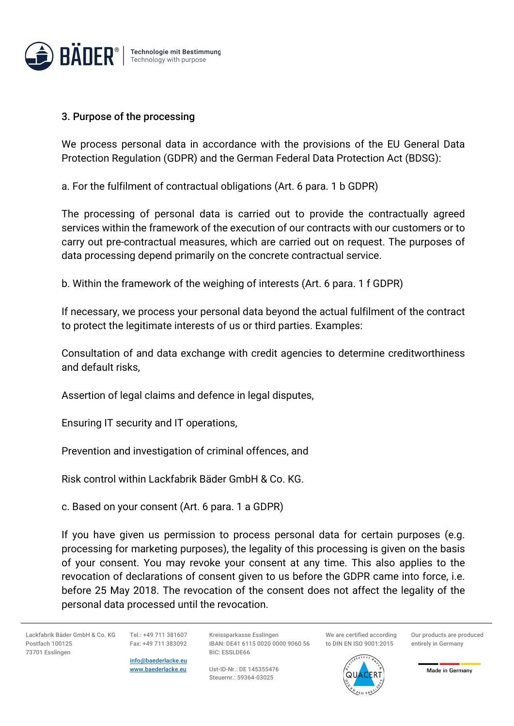

#### 3. Purpose of the processing

We process personal data in accordance with the provisions of the EU General Data Protection Regulation (GDPR) and the German Federal Data Protection Act (BDSG):

a. For the fulfilment of contractual obligations (Art. 6 para. 1 b GDPR)

The processing of personal data is carried out to provide the contractually agreed services within the framework of the execution of our contracts with our customers or to carry out pre-contractual measures, which are carried out on request. The purposes of data processing depend primarily on the concrete contractual service.

b. Within the framework of the weighing of interests (Art. 6 para. 1 f GDPR)

If necessary, we process your personal data beyond the actual fulfilment of the contract to protect the legitimate interests of us or third parties. Examples:

Consultation of and data exchange with credit agencies to determine creditworthiness and default risks,

Assertion of legal claims and defence in legal disputes,

Ensuring IT security and IT operations,

Prevention and investigation of criminal offences, and

Risk control within Lackfabrik Bäder GmbH & Co. KG.

c. Based on your consent (Art. 6 para. 1 a GDPR)

If you have given us permission to process personal data for certain purposes (e.g. processing for marketing purposes), the legality of this processing is given on the basis of your consent. You may revoke your consent at any time. This also applies to the revocation of declarations of consent given to us before the GDPR came into force, i.e. before 25 May 2018. The revocation of the consent does not affect the legality of the personal data processed until the revocation.

Lackfabrik Bäder GmbH & Co. KG Postfach 100125 73701 Esslingen

Tel.: +49 711 381607 Fax: +49 711 383092

info@baederlacke.eu www.baederlacke.eu Kreissparkasse Esslingen IBAN: DE41 6115 0020 0000 9060 56 BIC: ESSLDE66

Ust-ID-Nr.: DE 145355476 Steuernr.: 59364-03025

We are certified according to DIN EN ISO 9001:2015

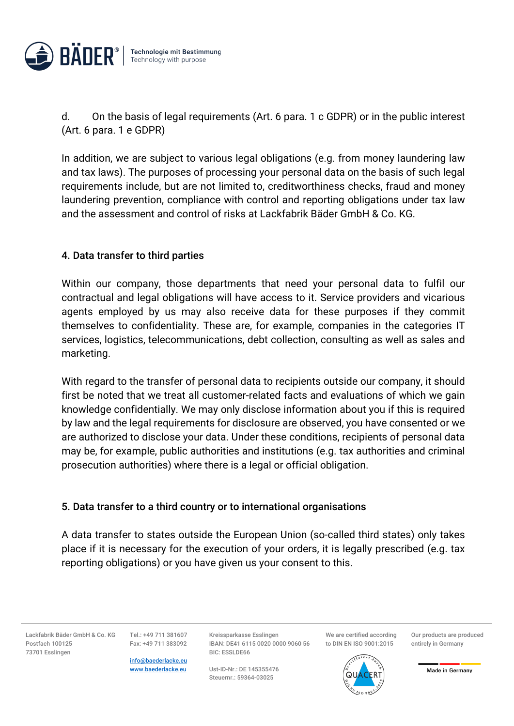

d. On the basis of legal requirements (Art. 6 para. 1 c GDPR) or in the public interest (Art. 6 para. 1 e GDPR)

In addition, we are subject to various legal obligations (e.g. from money laundering law and tax laws). The purposes of processing your personal data on the basis of such legal requirements include, but are not limited to, creditworthiness checks, fraud and money laundering prevention, compliance with control and reporting obligations under tax law and the assessment and control of risks at Lackfabrik Bäder GmbH & Co. KG.

# 4. Data transfer to third parties

Within our company, those departments that need your personal data to fulfil our contractual and legal obligations will have access to it. Service providers and vicarious agents employed by us may also receive data for these purposes if they commit themselves to confidentiality. These are, for example, companies in the categories IT services, logistics, telecommunications, debt collection, consulting as well as sales and marketing.

With regard to the transfer of personal data to recipients outside our company, it should first be noted that we treat all customer-related facts and evaluations of which we gain knowledge confidentially. We may only disclose information about you if this is required by law and the legal requirements for disclosure are observed, you have consented or we are authorized to disclose your data. Under these conditions, recipients of personal data may be, for example, public authorities and institutions (e.g. tax authorities and criminal prosecution authorities) where there is a legal or official obligation.

# 5. Data transfer to a third country or to international organisations

A data transfer to states outside the European Union (so-called third states) only takes place if it is necessary for the execution of your orders, it is legally prescribed (e.g. tax reporting obligations) or you have given us your consent to this.

Lackfabrik Bäder GmbH & Co. KG Postfach 100125 73701 Esslingen

Tel.: +49 711 381607 Fax: +49 711 383092

info@baederlacke.eu www.baederlacke.eu

Kreissparkasse Esslingen IBAN: DE41 6115 0020 0000 9060 56 BIC: ESSLDE66

Ust-ID-Nr.: DE 145355476 Steuernr.: 59364-03025

We are certified according to DIN EN ISO 9001:2015

Our products are produced entirely in Germany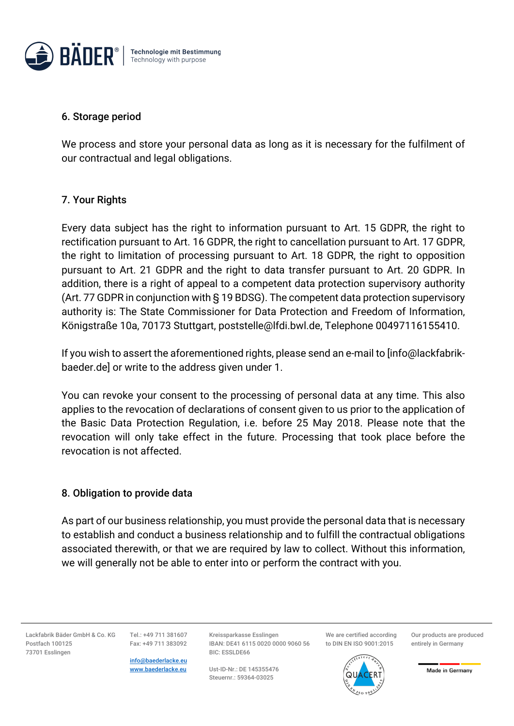

#### 6. Storage period

We process and store your personal data as long as it is necessary for the fulfilment of our contractual and legal obligations.

# 7. Your Rights

Every data subject has the right to information pursuant to Art. 15 GDPR, the right to rectification pursuant to Art. 16 GDPR, the right to cancellation pursuant to Art. 17 GDPR, the right to limitation of processing pursuant to Art. 18 GDPR, the right to opposition pursuant to Art. 21 GDPR and the right to data transfer pursuant to Art. 20 GDPR. In addition, there is a right of appeal to a competent data protection supervisory authority (Art. 77 GDPR in conjunction with § 19 BDSG). The competent data protection supervisory authority is: The State Commissioner for Data Protection and Freedom of Information, Königstraße 10a, 70173 Stuttgart, poststelle@lfdi.bwl.de, Telephone 00497116155410.

If you wish to assert the aforementioned rights, please send an e-mail to [info@lackfabrikbaeder.de] or write to the address given under 1.

You can revoke your consent to the processing of personal data at any time. This also applies to the revocation of declarations of consent given to us prior to the application of the Basic Data Protection Regulation, i.e. before 25 May 2018. Please note that the revocation will only take effect in the future. Processing that took place before the revocation is not affected.

# 8. Obligation to provide data

As part of our business relationship, you must provide the personal data that is necessary to establish and conduct a business relationship and to fulfill the contractual obligations associated therewith, or that we are required by law to collect. Without this information, we will generally not be able to enter into or perform the contract with you.

Lackfabrik Bäder GmbH & Co. KG Postfach 100125 73701 Esslingen

Tel.: +49 711 381607 Fax: +49 711 383092

info@baederlacke.eu www.baederlacke.eu

Kreissparkasse Esslingen IBAN: DE41 6115 0020 0000 9060 56 BIC: ESSLDE66

Ust-ID-Nr.: DE 145355476 Steuernr.: 59364-03025

We are certified according to DIN EN ISO 9001:2015

Our products are produced entirely in Germany